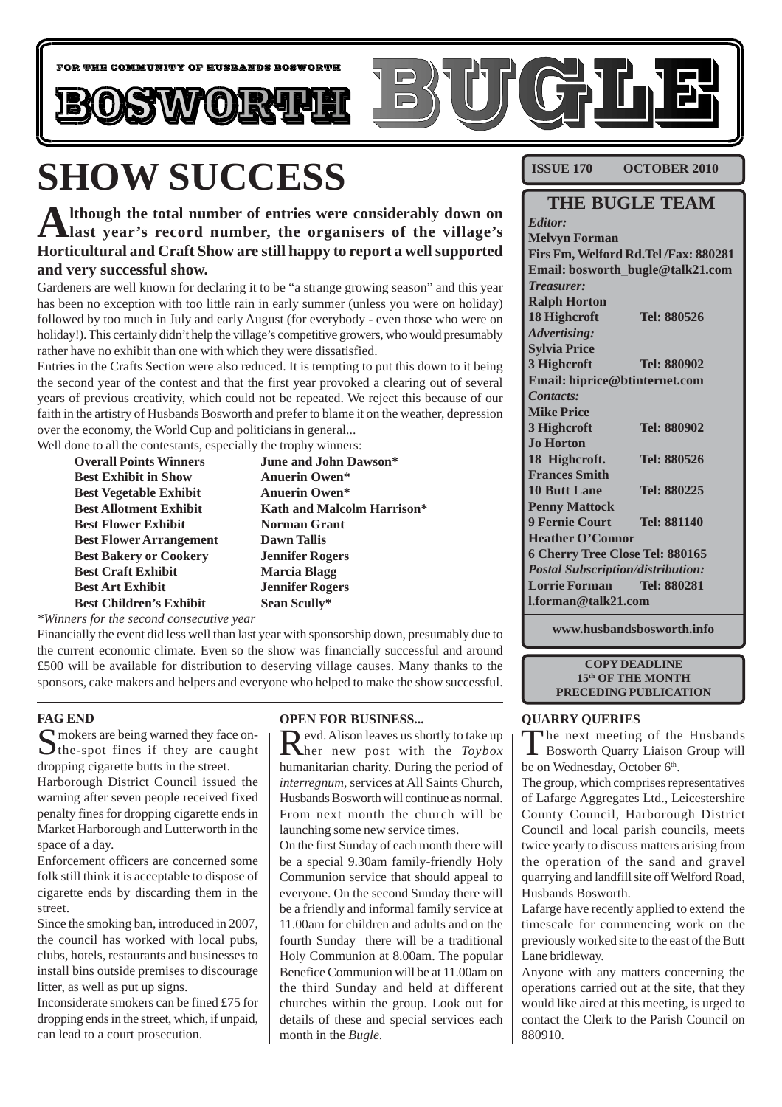

# **SHOW SUCCESS**

**Although the total number of entries were considerably down on last year's record number, the organisers of the village's Horticultural and Craft Show are still happy to report a well supported and very successful show.**

Gardeners are well known for declaring it to be "a strange growing season" and this year has been no exception with too little rain in early summer (unless you were on holiday) followed by too much in July and early August (for everybody - even those who were on holiday!). This certainly didn't help the village's competitive growers, who would presumably rather have no exhibit than one with which they were dissatisfied.

Entries in the Crafts Section were also reduced. It is tempting to put this down to it being the second year of the contest and that the first year provoked a clearing out of several years of previous creativity, which could not be repeated. We reject this because of our faith in the artistry of Husbands Bosworth and prefer to blame it on the weather, depression over the economy, the World Cup and politicians in general...

Well done to all the contestants, especially the trophy winners:

| <b>Overall Points Winners</b>  | <b>June and John Dawson*</b> |
|--------------------------------|------------------------------|
| <b>Best Exhibit in Show</b>    | <b>Anuerin Owen*</b>         |
| <b>Best Vegetable Exhibit</b>  | <b>Anuerin Owen*</b>         |
| <b>Best Allotment Exhibit</b>  | Kath and Malcolm Harrison*   |
| <b>Best Flower Exhibit</b>     | <b>Norman Grant</b>          |
| <b>Best Flower Arrangement</b> | Dawn Tallis                  |
| <b>Best Bakery or Cookery</b>  | <b>Jennifer Rogers</b>       |
| <b>Best Craft Exhibit</b>      | <b>Marcia Blagg</b>          |
| <b>Best Art Exhibit</b>        | <b>Jennifer Rogers</b>       |
| <b>Best Children's Exhibit</b> | Sean Scully*                 |
|                                |                              |

*\*Winners for the second consecutive year*

Financially the event did less well than last year with sponsorship down, presumably due to the current economic climate. Even so the show was financially successful and around £500 will be available for distribution to deserving village causes. Many thanks to the sponsors, cake makers and helpers and everyone who helped to make the show successful.

#### **FAG END**

S mokers are being warned they face on-<br>the-spot fines if they are caught dropping cigarette butts in the street.

Harborough District Council issued the warning after seven people received fixed penalty fines for dropping cigarette ends in Market Harborough and Lutterworth in the space of a day.

Enforcement officers are concerned some folk still think it is acceptable to dispose of cigarette ends by discarding them in the street.

Since the smoking ban, introduced in 2007, the council has worked with local pubs, clubs, hotels, restaurants and businesses to install bins outside premises to discourage litter, as well as put up signs.

Inconsiderate smokers can be fined £75 for dropping ends in the street, which, if unpaid, can lead to a court prosecution.

#### **OPEN FOR BUSINESS...**

Revd. Alison leaves us shortly to take up her new post with the *Toybox* humanitarian charity. During the period of *interregnum*, services at All Saints Church, Husbands Bosworth will continue as normal. From next month the church will be launching some new service times.

On the first Sunday of each month there will be a special 9.30am family-friendly Holy Communion service that should appeal to everyone. On the second Sunday there will be a friendly and informal family service at 11.00am for children and adults and on the fourth Sunday there will be a traditional Holy Communion at 8.00am. The popular Benefice Communion will be at 11.00am on the third Sunday and held at different churches within the group. Look out for details of these and special services each month in the *Bugle*.

**ISSUE 170 OCTOBER 2010**

### **THE BUGLE TEAM** *Editor:*

**Melvyn Forman Firs Fm, Welford Rd.Tel /Fax: 880281 Email: bosworth\_bugle@talk21.com** *Treasurer:* **Ralph Horton 18 Highcroft Tel: 880526** *Advertising:* **Sylvia Price 3 Highcroft Tel: 880902 Email: hiprice@btinternet.com** *Contacts:* **Mike Price 3 Highcroft Tel: 880902 Jo Horton 18 Highcroft. Tel: 880526 Frances Smith 10 Butt Lane Tel: 880225 Penny Mattock 9 Fernie Court Tel: 881140 Heather O'Connor 6 Cherry Tree Close Tel: 880165** *Postal Subscription/distribution:* **Lorrie Forman Tel: 880281 l.forman@talk21.com**

**www.husbandsbosworth.info**

#### **COPY DEADLINE 15th OF THE MONTH PRECEDING PUBLICATION**

#### **QUARRY QUERIES**

The next meeting of the Husbands Bosworth Quarry Liaison Group will be on Wednesday, October 6<sup>th</sup>.

The group, which comprises representatives of Lafarge Aggregates Ltd., Leicestershire County Council, Harborough District Council and local parish councils, meets twice yearly to discuss matters arising from the operation of the sand and gravel quarrying and landfill site off Welford Road, Husbands Bosworth.

Lafarge have recently applied to extend the timescale for commencing work on the previously worked site to the east of the Butt Lane bridleway.

Anyone with any matters concerning the operations carried out at the site, that they would like aired at this meeting, is urged to contact the Clerk to the Parish Council on 880910.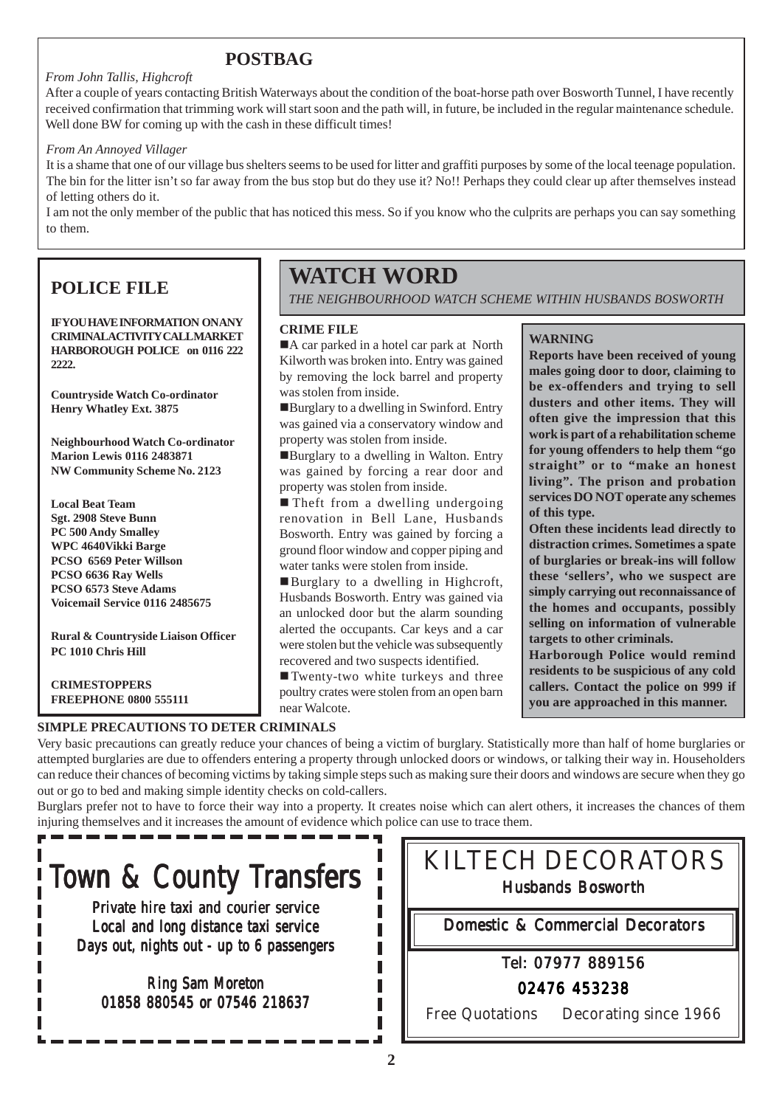# **POSTBAG**

#### *From John Tallis, Highcroft*

After a couple of years contacting British Waterways about the condition of the boat-horse path over Bosworth Tunnel, I have recently received confirmation that trimming work will start soon and the path will, in future, be included in the regular maintenance schedule. Well done BW for coming up with the cash in these difficult times!

#### *From An Annoyed Villager*

It is a shame that one of our village bus shelters seems to be used for litter and graffiti purposes by some of the local teenage population. The bin for the litter isn't so far away from the bus stop but do they use it? No!! Perhaps they could clear up after themselves instead of letting others do it.

I am not the only member of the public that has noticed this mess. So if you know who the culprits are perhaps you can say something to them.

# **POLICE FILE**

**IFYOU HAVE INFORMATION ON ANY CRIMINAL ACTIVITY CALL MARKET HARBOROUGH POLICE on 0116 222 2222.**

**Countryside Watch Co-ordinator Henry Whatley Ext. 3875**

**Neighbourhood Watch Co-ordinator Marion Lewis 0116 2483871 NW Community Scheme No. 2123**

**Local Beat Team Sgt. 2908 Steve Bunn PC 500 Andy Smalley WPC 4640Vikki Barge PCSO 6569 Peter Willson PCSO 6636 Ray Wells PCSO 6573 Steve Adams Voicemail Service 0116 2485675**

**Rural & Countryside Liaison Officer PC 1010 Chris Hill**

**CRIMESTOPPERS FREEPHONE 0800 555111**

# **WATCH WORD**

*THE NEIGHBOURHOOD WATCH SCHEME WITHIN HUSBANDS BOSWORTH*

#### **CRIME FILE**

A car parked in a hotel car park at North Kilworth was broken into. Entry was gained by removing the lock barrel and property was stolen from inside.

!Burglary to a dwelling in Swinford. Entry was gained via a conservatory window and property was stolen from inside.

!Burglary to a dwelling in Walton. Entry was gained by forcing a rear door and property was stolen from inside.

**In Theft from a dwelling undergoing** renovation in Bell Lane, Husbands Bosworth. Entry was gained by forcing a ground floor window and copper piping and water tanks were stolen from inside.

!Burglary to a dwelling in Highcroft, Husbands Bosworth. Entry was gained via an unlocked door but the alarm sounding alerted the occupants. Car keys and a car were stolen but the vehicle was subsequently recovered and two suspects identified.

!Twenty-two white turkeys and three poultry crates were stolen from an open barn near Walcote.

#### **WARNING**

**Reports have been received of young males going door to door, claiming to be ex-offenders and trying to sell dusters and other items. They will often give the impression that this work is part of a rehabilitation scheme for young offenders to help them "go straight" or to "make an honest living". The prison and probation services DO NOT operate any schemes of this type.**

**Often these incidents lead directly to distraction crimes. Sometimes a spate of burglaries or break-ins will follow these 'sellers', who we suspect are simply carrying out reconnaissance of the homes and occupants, possibly selling on information of vulnerable targets to other criminals.**

**Harborough Police would remind residents to be suspicious of any cold callers. Contact the police on 999 if you are approached in this manner.**

Very basic precautions can greatly reduce your chances of being a victim of burglary. Statistically more than half of home burglaries or attempted burglaries are due to offenders entering a property through unlocked doors or windows, or talking their way in. Householders can reduce their chances of becoming victims by taking simple steps such as making sure their doors and windows are secure when they go out or go to bed and making simple identity checks on cold-callers.

Burglars prefer not to have to force their way into a property. It creates noise which can alert others, it increases the chances of them injuring themselves and it increases the amount of evidence which police can use to trace them.

# Town & County Transfers

**SIMPLE PRECAUTIONS TO DETER CRIMINALS**

Private hire taxi and courier service Local and long distance taxi service Days out, nights out - up to 6 passengers

Ring Sam Moreton 01858 880545 or 07546 218637 KILTECH DECORATORS Husbands Bosworth

Domestic & Commercial Decorators

### Tel: 07977 889156

02476 453238

Free Quotations Decorating since 1966

**2**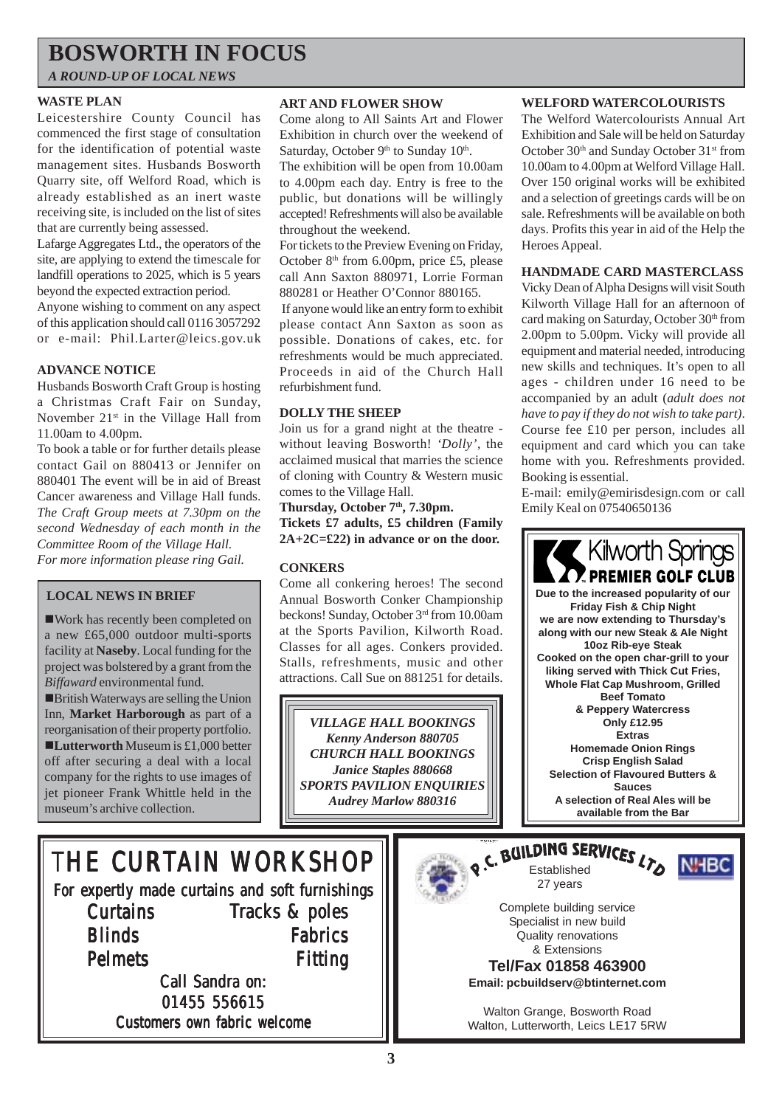# **BOSWORTH IN FOCUS**

*A ROUND-UP OF LOCAL NEWS*

#### **WASTE PLAN**

Leicestershire County Council has commenced the first stage of consultation for the identification of potential waste management sites. Husbands Bosworth Quarry site, off Welford Road, which is already established as an inert waste receiving site, is included on the list of sites that are currently being assessed.

Lafarge Aggregates Ltd., the operators of the site, are applying to extend the timescale for landfill operations to 2025, which is 5 years beyond the expected extraction period.

Anyone wishing to comment on any aspect of this application should call 0116 3057292 or e-mail: Phil.Larter@leics.gov.uk

#### **ADVANCE NOTICE**

Husbands Bosworth Craft Group is hosting a Christmas Craft Fair on Sunday, November 21<sup>st</sup> in the Village Hall from 11.00am to 4.00pm.

To book a table or for further details please contact Gail on 880413 or Jennifer on 880401 The event will be in aid of Breast Cancer awareness and Village Hall funds. *The Craft Group meets at 7.30pm on the second Wednesday of each month in the Committee Room of the Village Hall. For more information please ring Gail.*

#### **LOCAL NEWS IN BRIEF**

!Work has recently been completed on a new £65,000 outdoor multi-sports facility at **Naseby**. Local funding for the project was bolstered by a grant from the *Biffaward* environmental fund.

!British Waterways are selling the Union Inn, **Market Harborough** as part of a reorganisation of their property portfolio. **ELutterworth** Museum is £1,000 better off after securing a deal with a local company for the rights to use images of jet pioneer Frank Whittle held in the museum's archive collection.

#### **ART AND FLOWER SHOW**

Come along to All Saints Art and Flower Exhibition in church over the weekend of Saturday, October 9<sup>th</sup> to Sunday 10<sup>th</sup>.

The exhibition will be open from 10.00am to 4.00pm each day. Entry is free to the public, but donations will be willingly accepted! Refreshments will also be available throughout the weekend.

For tickets to the Preview Evening on Friday, October  $8<sup>th</sup>$  from 6.00pm, price £5, please call Ann Saxton 880971, Lorrie Forman 880281 or Heather O'Connor 880165.

 If anyone would like an entry form to exhibit please contact Ann Saxton as soon as possible. Donations of cakes, etc. for refreshments would be much appreciated. Proceeds in aid of the Church Hall refurbishment fund.

#### **DOLLY THE SHEEP**

Join us for a grand night at the theatre without leaving Bosworth! *'Dolly'*, the acclaimed musical that marries the science of cloning with Country & Western music comes to the Village Hall.

Thursday, October 7<sup>th</sup>, 7.30pm. **Tickets £7 adults, £5 children (Family 2A+2C=£22) in advance or on the door.**

#### **CONKERS**

Come all conkering heroes! The second Annual Bosworth Conker Championship beckons! Sunday, October 3rd from 10.00am at the Sports Pavilion, Kilworth Road. Classes for all ages. Conkers provided. Stalls, refreshments, music and other attractions. Call Sue on 881251 for details.

*VILLAGE HALL BOOKINGS Kenny Anderson 880705 CHURCH HALL BOOKINGS Janice Staples 880668 SPORTS PAVILION ENQUIRIES Audrey Marlow 880316*

#### **WELFORD WATERCOLOURISTS**

The Welford Watercolourists Annual Art Exhibition and Sale will be held on Saturday October 30<sup>th</sup> and Sunday October 31<sup>st</sup> from 10.00am to 4.00pm at Welford Village Hall. Over 150 original works will be exhibited and a selection of greetings cards will be on sale. Refreshments will be available on both days. Profits this year in aid of the Help the Heroes Appeal.

#### **HANDMADE CARD MASTERCLASS**

Vicky Dean of Alpha Designs will visit South Kilworth Village Hall for an afternoon of card making on Saturday, October 30<sup>th</sup> from 2.00pm to 5.00pm. Vicky will provide all equipment and material needed, introducing new skills and techniques. It's open to all ages - children under 16 need to be accompanied by an adult (*adult does not have to pay if they do not wish to take part)*. Course fee £10 per person, includes all equipment and card which you can take home with you. Refreshments provided. Booking is essential.

E-mail: emily@emirisdesign.com or call Emily Keal on 07540650136



# THE CURTAIN WORKSHOP

For expertly made curtains and soft furnishings **Curtains Blinds** Pelmets Tracks & poles Fabrics Fitting

Call Sandra on: 01455 556615 Customers own fabric welcome





Complete building service Specialist in new build Quality renovations & Extensions

**Tel/Fax 01858 463900 Email: pcbuildserv@btinternet.com**

Walton Grange, Bosworth Road Walton, Lutterworth, Leics LE17 5RW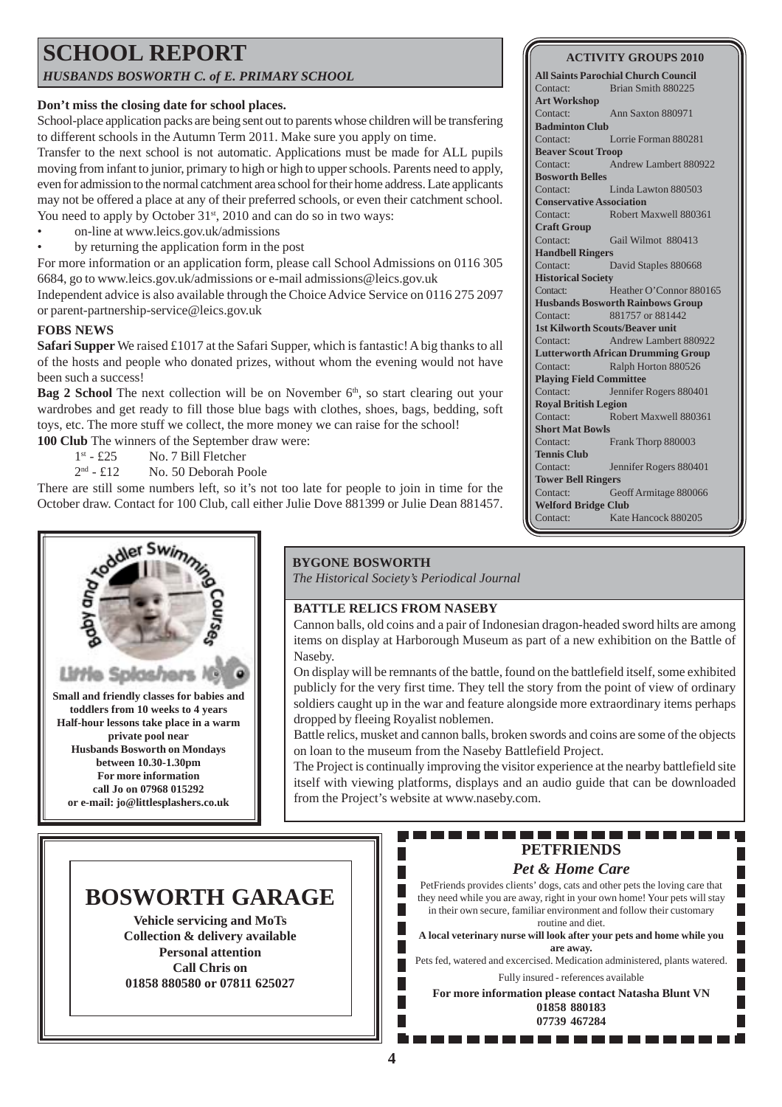### **SCHOOL REPORT** *HUSBANDS BOSWORTH C. of E. PRIMARY SCHOOL*

#### **Don't miss the closing date for school places.**

School-place application packs are being sent out to parents whose children will be transfering to different schools in the Autumn Term 2011. Make sure you apply on time.

Transfer to the next school is not automatic. Applications must be made for ALL pupils moving from infant to junior, primary to high or high to upper schools. Parents need to apply, even for admission to the normal catchment area school for their home address. Late applicants may not be offered a place at any of their preferred schools, or even their catchment school. You need to apply by October 31<sup>st</sup>, 2010 and can do so in two ways:

- on-line at www.leics.gov.uk/admissions
- by returning the application form in the post

For more information or an application form, please call School Admissions on 0116 305 6684, go to www.leics.gov.uk/admissions or e-mail admissions@leics.gov.uk

Independent advice is also available through the Choice Advice Service on 0116 275 2097 or parent-partnership-service@leics.gov.uk

#### **FOBS NEWS**

**Safari Supper** We raised £1017 at the Safari Supper, which is fantastic! A big thanks to all of the hosts and people who donated prizes, without whom the evening would not have been such a success!

**Bag 2 School** The next collection will be on November  $6<sup>th</sup>$ , so start clearing out your wardrobes and get ready to fill those blue bags with clothes, shoes, bags, bedding, soft toys, etc. The more stuff we collect, the more money we can raise for the school!

**100 Club** The winners of the September draw were:

1st - £25 No. 7 Bill Fletcher

2nd - £12 No. 50 Deborah Poole

There are still some numbers left, so it's not too late for people to join in time for the October draw. Contact for 100 Club, call either Julie Dove 881399 or Julie Dean 881457.



**All Saints Parochial Church Council** Contact: Brian Smith 880225 **Art Workshop** Contact: Ann Saxton 880971 **Badminton Club** Contact: Lorrie Forman 880281 **Beaver Scout Troop** Contact: Andrew Lambert 880922 **Bosworth Belles** Contact: Linda Lawton 880503 **Conservative Association** Contact: Robert Maxwell 880361 **Craft Group** Contact: Gail Wilmot 880413 **Handbell Ringers** Contact: David Staples 880668 **Historical Society** Contact: Heather O'Connor 880165 **Husbands Bosworth Rainbows Group** Contact: 881757 or 881442 **1st Kilworth Scouts/Beaver unit** Contact: Andrew Lambert 880922 **Lutterworth African Drumming Group** Contact: Ralph Horton 880526 **Playing Field Committee** Contact: Jennifer Rogers 880401 **Royal British Legion** Contact: Robert Maxwell 880361 **Short Mat Bowls** Contact: Frank Thorp 880003 **Tennis Club** Contact: Jennifer Rogers 880401 **Tower Bell Ringers** Contact: Geoff Armitage 880066 **Welford Bridge Club** Contact: Kate Hancock 880205



**toddlers from 10 weeks to 4 years Half-hour lessons take place in a warm private pool near Husbands Bosworth on Mondays between 10.30-1.30pm For more information call Jo on 07968 015292 or e-mail: jo@littlesplashers.co.uk**

#### **BYGONE BOSWORTH**

*The Historical Society's Periodical Journal*

#### **BATTLE RELICS FROM NASEBY**

Cannon balls, old coins and a pair of Indonesian dragon-headed sword hilts are among items on display at Harborough Museum as part of a new exhibition on the Battle of Naseby.

On display will be remnants of the battle, found on the battlefield itself, some exhibited publicly for the very first time. They tell the story from the point of view of ordinary soldiers caught up in the war and feature alongside more extraordinary items perhaps dropped by fleeing Royalist noblemen.

Battle relics, musket and cannon balls, broken swords and coins are some of the objects on loan to the museum from the Naseby Battlefield Project.

The Project is continually improving the visitor experience at the nearby battlefield site itself with viewing platforms, displays and an audio guide that can be downloaded from the Project's website at www.naseby.com.

# **BOSWORTH GARAGE**

**Vehicle servicing and MoTs Collection & delivery available Personal attention Call Chris on 01858 880580 or 07811 625027**

#### 1 E E E -------**PETFRIENDS**

### *Pet & Home Care*

PetFriends provides clients' dogs, cats and other pets the loving care that they need while you are away, right in your own home! Your pets will stay in their own secure, familiar environment and follow their customary routine and diet.

П

**A local veterinary nurse will look after your pets and home while you are away.**

Pets fed, watered and excercised. Medication administered, plants watered. Fully insured - references available

**For more information please contact Natasha Blunt VN 01858 880183 07739 467284**

. . . . . . . . . . .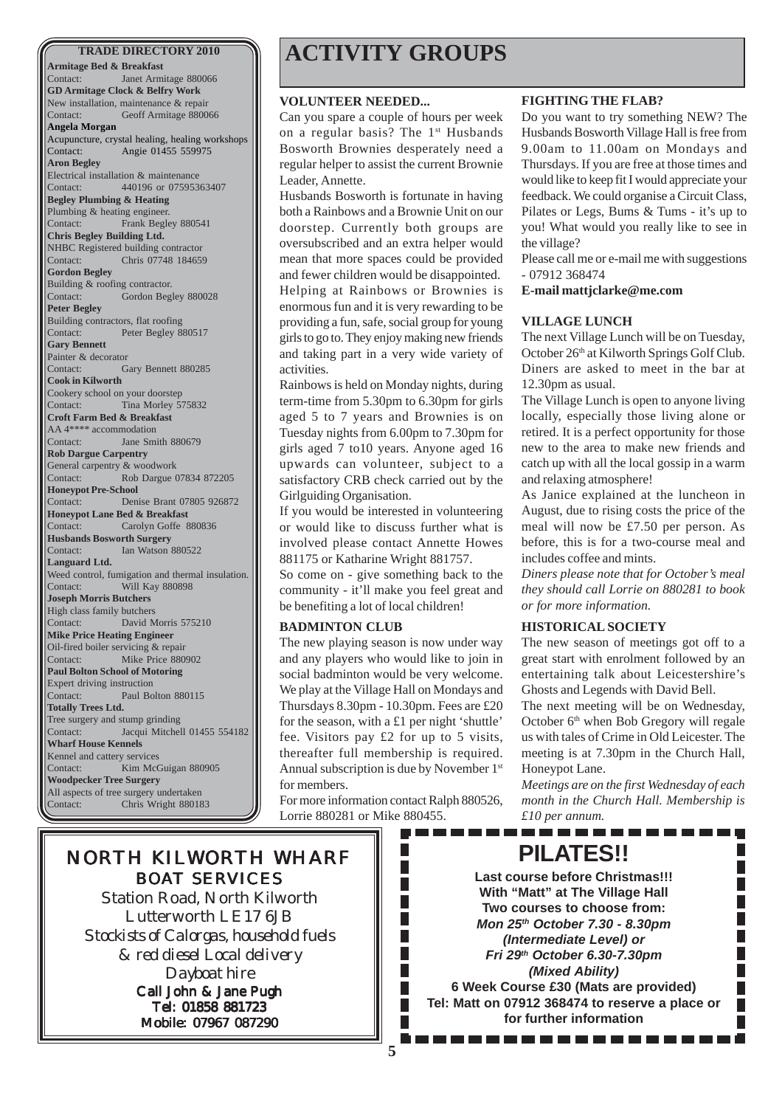**Armitage Bed & Breakfast** Contact: Janet Armitage 880066 **GD Armitage Clock & Belfry Work** New installation, maintenance & repair Contact: Geoff Armitage 880066 **Angela Morgan** Acupuncture, crystal healing, healing workshops Contact: Angie 01455 559975 **Aron Begley** Electrical installation & maintenance Contact: 440196 or 07595363407 **Begley Plumbing & Heating** Plumbing & heating engineer. Contact: Frank Begley 880541 **Chris Begley Building Ltd.** NHBC Registered building contractor Contact: Chris 07748 184659 **Gordon Begley** Building & roofing contractor. Contact: Gordon Begley 880028 **Peter Begley** Building contractors, flat roofing Contact: Peter Begley 880517 **Gary Bennett** Painter & decorator Contact: Gary Bennett 880285 **Cook in Kilworth** Cookery school on your doorstep Contact: Tina Morley 575832 **Croft Farm Bed & Breakfast** AA 4\*\*\*\* accommodation Contact: Jane Smith 880679 **Rob Dargue Carpentry** General carpentry & woodwork Contact: Rob Dargue 07834 872205 **Honeypot Pre-School** Denise Brant 07805 926872 **Honeypot Lane Bed & Breakfast** Contact: Carolyn Goffe 880836 **Husbands Bosworth Surgery** Contact: Ian Watson 880522 **Languard Ltd.** Weed control, fumigation and thermal insulation. Contact: Will Kay 880898 **Joseph Morris Butchers** High class family butchers Contact: David Morris 575210 **Mike Price Heating Engineer** Oil-fired boiler servicing & repair Contact: Mike Price 880902 **Paul Bolton School of Motoring** Expert driving instruction Contact: Paul Bolton 880115 **Totally Trees Ltd.** Tree surgery and stump grinding Contact: Jacqui Mitchell 01455 554182 **Wharf House Kennels** Kennel and cattery services Contact: Kim McGuigan 880905 **Woodpecker Tree Surgery** All aspects of tree surgery undertaken Contact: Chris Wright 880183

# **TRADE DIRECTORY 2010 ACTIVITY GROUPS**

#### **VOLUNTEER NEEDED...**

Can you spare a couple of hours per week on a regular basis? The 1<sup>st</sup> Husbands Bosworth Brownies desperately need a regular helper to assist the current Brownie Leader, Annette.

Husbands Bosworth is fortunate in having both a Rainbows and a Brownie Unit on our doorstep. Currently both groups are oversubscribed and an extra helper would mean that more spaces could be provided and fewer children would be disappointed. Helping at Rainbows or Brownies is enormous fun and it is very rewarding to be providing a fun, safe, social group for young girls to go to. They enjoy making new friends and taking part in a very wide variety of activities.

Rainbows is held on Monday nights, during term-time from 5.30pm to 6.30pm for girls aged 5 to 7 years and Brownies is on Tuesday nights from 6.00pm to 7.30pm for girls aged 7 to10 years. Anyone aged 16 upwards can volunteer, subject to a satisfactory CRB check carried out by the Girlguiding Organisation.

If you would be interested in volunteering or would like to discuss further what is involved please contact Annette Howes 881175 or Katharine Wright 881757.

So come on - give something back to the community - it'll make you feel great and be benefiting a lot of local children!

#### **BADMINTON CLUB**

The new playing season is now under way and any players who would like to join in social badminton would be very welcome. We play at the Village Hall on Mondays and Thursdays 8.30pm - 10.30pm. Fees are £20 for the season, with a £1 per night 'shuttle' fee. Visitors pay £2 for up to 5 visits, thereafter full membership is required. Annual subscription is due by November 1st for members.

For more information contact Ralph 880526, Lorrie 880281 or Mike 880455.

> Ш П П П П П П П П П

#### **FIGHTING THE FLAB?**

Do you want to try something NEW? The Husbands Bosworth Village Hall is free from 9.00am to 11.00am on Mondays and Thursdays. If you are free at those times and would like to keep fit I would appreciate your feedback. We could organise a Circuit Class, Pilates or Legs, Bums & Tums - it's up to you! What would you really like to see in the village?

Please call me or e-mail me with suggestions - 07912 368474

**E-mail mattjclarke@me.com**

#### **VILLAGE LUNCH**

The next Village Lunch will be on Tuesday, October 26<sup>th</sup> at Kilworth Springs Golf Club. Diners are asked to meet in the bar at 12.30pm as usual.

The Village Lunch is open to anyone living locally, especially those living alone or retired. It is a perfect opportunity for those new to the area to make new friends and catch up with all the local gossip in a warm and relaxing atmosphere!

As Janice explained at the luncheon in August, due to rising costs the price of the meal will now be £7.50 per person. As before, this is for a two-course meal and includes coffee and mints.

*Diners please note that for October's meal they should call Lorrie on 880281 to book or for more information.*

#### **HISTORICAL SOCIETY**

The new season of meetings got off to a great start with enrolment followed by an entertaining talk about Leicestershire's Ghosts and Legends with David Bell.

The next meeting will be on Wednesday, October 6<sup>th</sup> when Bob Gregory will regale us with tales of Crime in Old Leicester. The meeting is at 7.30pm in the Church Hall, Honeypot Lane.

*Meetings are on the first Wednesday of each month in the Church Hall. Membership is £10 per annum.*

. . . . . . . . . . .

. . . . .

# NORTH KILWORTH WHARF BOAT SERVICES

Station Road, North Kilworth Lutterworth LE17 6JB *Stockists of Calorgas, household fuels & red diesel Local delivery Dayboat hire* Call John & Jane Pugh Tel: 01858 881723 Mobile: 07967 087290

**PILATES!! Last course before Christmas!!! With "Matt" at The Village Hall Two courses to choose from:** *Mon 25th October 7.30 - 8.30pm*

*(Intermediate Level) or Fri 29th October 6.30-7.30pm (Mixed Ability)*

**6 Week Course £30 (Mats are provided) Tel: Matt on 07912 368474 to reserve a place or for further information**

**5**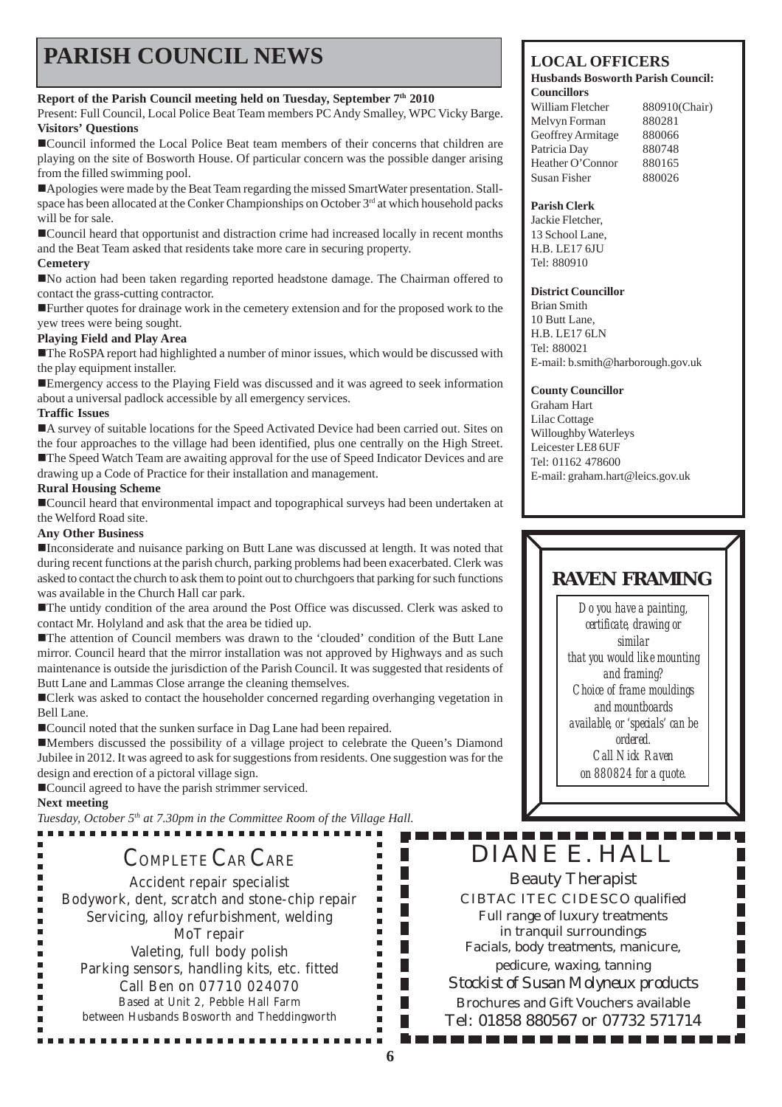# **PARISH COUNCIL NEWS** LOCAL OFFICERS

#### **Report of the Parish Council meeting held on Tuesday, September 7th 2010**

Present: Full Council, Local Police Beat Team members PC Andy Smalley, WPC Vicky Barge. **Visitors' Questions**

!Council informed the Local Police Beat team members of their concerns that children are playing on the site of Bosworth House. Of particular concern was the possible danger arising from the filled swimming pool.

!Apologies were made by the Beat Team regarding the missed SmartWater presentation. Stallspace has been allocated at the Conker Championships on October 3<sup>rd</sup> at which household packs will be for sale.

!Council heard that opportunist and distraction crime had increased locally in recent months and the Beat Team asked that residents take more care in securing property.

#### **Cemetery**

!No action had been taken regarding reported headstone damage. The Chairman offered to contact the grass-cutting contractor.

!Further quotes for drainage work in the cemetery extension and for the proposed work to the yew trees were being sought.

#### **Playing Field and Play Area**

!The RoSPA report had highlighted a number of minor issues, which would be discussed with the play equipment installer.

**Emergency access to the Playing Field was discussed and it was agreed to seek information** about a universal padlock accessible by all emergency services.

#### **Traffic Issues**

!A survey of suitable locations for the Speed Activated Device had been carried out. Sites on the four approaches to the village had been identified, plus one centrally on the High Street. !The Speed Watch Team are awaiting approval for the use of Speed Indicator Devices and are drawing up a Code of Practice for their installation and management.

#### **Rural Housing Scheme**

!Council heard that environmental impact and topographical surveys had been undertaken at the Welford Road site.

#### **Any Other Business**

!Inconsiderate and nuisance parking on Butt Lane was discussed at length. It was noted that during recent functions at the parish church, parking problems had been exacerbated. Clerk was asked to contact the church to ask them to point out to churchgoers that parking for such functions was available in the Church Hall car park.

!The untidy condition of the area around the Post Office was discussed. Clerk was asked to contact Mr. Holyland and ask that the area be tidied up.

!The attention of Council members was drawn to the 'clouded' condition of the Butt Lane mirror. Council heard that the mirror installation was not approved by Highways and as such maintenance is outside the jurisdiction of the Parish Council. It was suggested that residents of Butt Lane and Lammas Close arrange the cleaning themselves.

■ Clerk was asked to contact the householder concerned regarding overhanging vegetation in Bell Lane.

■ Council noted that the sunken surface in Dag Lane had been repaired.

!Members discussed the possibility of a village project to celebrate the Queen's Diamond Jubilee in 2012. It was agreed to ask for suggestions from residents. One suggestion was for the design and erection of a pictoral village sign.

!Council agreed to have the parish strimmer serviced.

#### **Next meeting**

 $\blacksquare$ 

×

*Tuesday, October 5th at 7.30pm in the Committee Room of the Village Hall.*

## COMPLETE CAR CARE

Accident repair specialist Bodywork, dent, scratch and stone-chip repair Servicing, alloy refurbishment, welding MoT repair Valeting, full body polish Parking sensors, handling kits, etc. fitted Call Ben on 07710 024070 Based at Unit 2, Pebble Hall Farm between Husbands Bosworth and Theddingworth

.................

#### **Husbands Bosworth Parish Council: Councillors**

William Fletcher 880910(Chair) Melvyn Forman 880281 Geoffrey Armitage 880066 Patricia Day 880748 Heather O'Connor 880165 Susan Fisher 880026

#### **Parish Clerk**

Jackie Fletcher, 13 School Lane, H.B. LE17 6JU Tel: 880910

#### **District Councillor**

Brian Smith 10 Butt Lane, H.B. LE17 6LN Tel: 880021 E-mail: b.smith@harborough.gov.uk

#### **County Councillor**

Graham Hart Lilac Cottage Willoughby Waterleys Leicester LE8 6UF Tel: 01162 478600 E-mail: graham.hart@leics.gov.uk

## **RAVEN FRAMING**

*Do you have a painting, certificate, drawing or similar that you would like mounting and framing? Choice of frame mouldings and mountboards available, or 'specials' can be ordered. Call Nick Raven on 880824 for a quote.*

# DIANE E. HALL

Beauty Therapist CIBTAC ITEC CIDESCO qualified Full range of luxury treatments in tranquil surroundings Facials, body treatments, manicure, pedicure, waxing, tanning *Stockist of Susan Molyneux products* Brochures and Gift Vouchers available Tel: 01858 880567 or 07732 571714

. . . . . . . . . . . . .

П  $\blacksquare$  $\blacksquare$ 

 $\Box$ 

П

F. F.  $\blacksquare$  $\blacksquare$ 

П

 $\overline{\phantom{a}}$  $\blacksquare$ ٠

П

П

 $\blacksquare$ 

l.

 $\blacksquare$ 

×

 $\blacksquare$  $\blacksquare$ П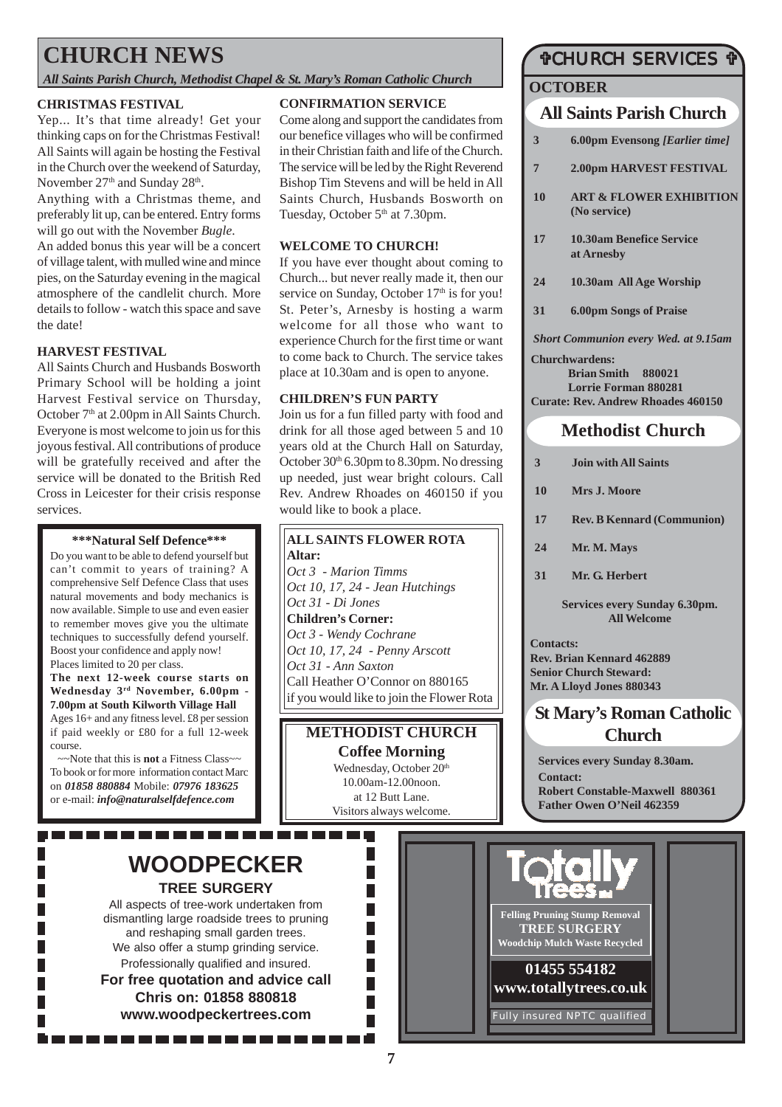# **CHURCH NEWS**

*All Saints Parish Church, Methodist Chapel & St. Mary's Roman Catholic Church*

#### **CHRISTMAS FESTIVAL**

Yep... It's that time already! Get your thinking caps on for the Christmas Festival! All Saints will again be hosting the Festival in the Church over the weekend of Saturday, November 27<sup>th</sup> and Sunday 28<sup>th</sup>.

Anything with a Christmas theme, and preferably lit up, can be entered. Entry forms will go out with the November *Bugle*.

An added bonus this year will be a concert of village talent, with mulled wine and mince pies, on the Saturday evening in the magical atmosphere of the candlelit church. More details to follow - watch this space and save the date!

#### **HARVEST FESTIVAL**

All Saints Church and Husbands Bosworth Primary School will be holding a joint Harvest Festival service on Thursday, October 7<sup>th</sup> at 2.00pm in All Saints Church. Everyone is most welcome to join us for this joyous festival. All contributions of produce will be gratefully received and after the service will be donated to the British Red Cross in Leicester for their crisis response services.

#### **\*\*\*Natural Self Defence\*\*\***

Do you want to be able to defend yourself but can't commit to years of training? A comprehensive Self Defence Class that uses natural movements and body mechanics is now available. Simple to use and even easier to remember moves give you the ultimate techniques to successfully defend yourself. Boost your confidence and apply now! Places limited to 20 per class.

**The next 12-week course starts on Wednesday 3rd November, 6.00pm - 7.00pm at South Kilworth Village Hall** Ages 16+ and any fitness level. £8 per session if paid weekly or £80 for a full 12-week course.

~~Note that this is **not** a Fitness Class~~ To book or for more information contact Marc on *01858 880884* Mobile: *07976 183625* or e-mail: *info@naturalselfdefence.com*

### **WOODPECKER TREE SURGERY**

--------------------

All aspects of tree-work undertaken from dismantling large roadside trees to pruning and reshaping small garden trees. We also offer a stump grinding service. Professionally qualified and insured. **For free quotation and advice call Chris on: 01858 880818 www.woodpeckertrees.com**

#### **CONFIRMATION SERVICE**

Come along and support the candidates from our benefice villages who will be confirmed in their Christian faith and life of the Church. The service will be led by the Right Reverend Bishop Tim Stevens and will be held in All Saints Church, Husbands Bosworth on Tuesday, October 5<sup>th</sup> at 7.30pm.

#### **WELCOME TO CHURCH!**

If you have ever thought about coming to Church... but never really made it, then our service on Sunday, October  $17<sup>th</sup>$  is for you! St. Peter's, Arnesby is hosting a warm welcome for all those who want to experience Church for the first time or want to come back to Church. The service takes place at 10.30am and is open to anyone.

#### **CHILDREN'S FUN PARTY**

Join us for a fun filled party with food and drink for all those aged between 5 and 10 years old at the Church Hall on Saturday, October  $30<sup>th</sup> 6.30$ pm to  $8.30$ pm. No dressing up needed, just wear bright colours. Call Rev. Andrew Rhoades on 460150 if you would like to book a place.

#### **ALL SAINTS FLOWER ROTA**

**Altar:** *Oct 3 - Marion Timms Oct 10, 17, 24 - Jean Hutchings Oct 31 - Di Jones* **Children's Corner:** *Oct 3 - Wendy Cochrane Oct 10, 17, 24 - Penny Arscott Oct 31 - Ann Saxton* Call Heather O'Connor on 880165 if you would like to join the Flower Rota

### **METHODIST CHURCH Coffee Morning** Wednesday, October 20<sup>th</sup>

10.00am-12.00noon. at 12 Butt Lane. Visitors always welcome.

Г

 $\overline{\phantom{a}}$  $\overline{\phantom{a}}$ П  $\overline{\phantom{a}}$ 

### "CHURCH SERVICES "

#### **OCTOBER**

### **All Saints Parish Church**

- **3 6.00pm Evensong** *[Earlier time]*
- **7 2.00pm HARVEST FESTIVAL**
- **10 ART & FLOWER EXHIBITION (No service)**
- **17 10.30am Benefice Service at Arnesby**
- **24 10.30am All Age Worship**
- **31 6.00pm Songs of Praise**

*Short Communion every Wed. at 9.15am*

#### **Churchwardens:**

**Brian Smith 880021 Lorrie Forman 880281 Curate: Rev. Andrew Rhoades 460150**

### **Methodist Church**

- **3 Join with All Saints**
- **10 Mrs J. Moore**
- **17 Rev. B Kennard (Communion)**
- **24 Mr. M. Mays**
- **31 Mr. G. Herbert**

**Services every Sunday 6.30pm. All Welcome**

**Contacts: Rev. Brian Kennard 462889 Senior Church Steward: Mr. A Lloyd Jones 880343**

### **St Mary's Roman Catholic Church**

**Services every Sunday 8.30am. Contact: Robert Constable-Maxwell 880361 Father Owen O'Neil 462359**